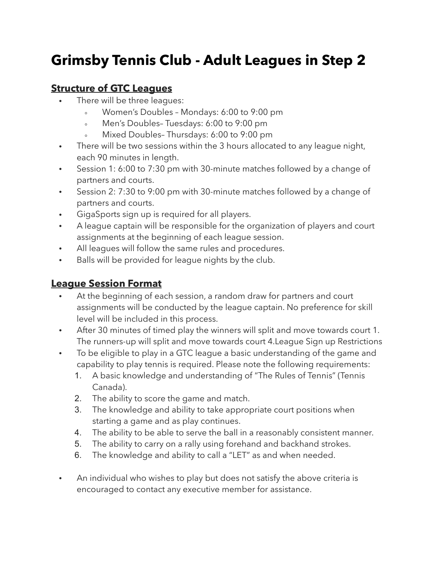## **Grimsby Tennis Club - Adult Leagues in Step 2**

## **Structure of GTC Leagues**

- There will be three leagues:
	- Women's Doubles Mondays: 6:00 to 9:00 pm
	- Men's Doubles– Tuesdays: 6:00 to 9:00 pm
	- Mixed Doubles-Thursdays: 6:00 to 9:00 pm
- There will be two sessions within the 3 hours allocated to any league night, each 90 minutes in length.
- Session 1: 6:00 to 7:30 pm with 30-minute matches followed by a change of partners and courts.
- Session 2: 7:30 to 9:00 pm with 30-minute matches followed by a change of partners and courts.
- GigaSports sign up is required for all players.
- A league captain will be responsible for the organization of players and court assignments at the beginning of each league session.
- All leagues will follow the same rules and procedures.
- Balls will be provided for league nights by the club.

## **League Session Format**

- At the beginning of each session, a random draw for partners and court assignments will be conducted by the league captain. No preference for skill level will be included in this process.
- After 30 minutes of timed play the winners will split and move towards court 1. The runners-up will split and move towards court 4.League Sign up Restrictions
- To be eligible to play in a GTC league a basic understanding of the game and capability to play tennis is required. Please note the following requirements:
	- 1. A basic knowledge and understanding of "The Rules of Tennis" (Tennis Canada).
	- 2. The ability to score the game and match.
	- 3. The knowledge and ability to take appropriate court positions when starting a game and as play continues.
	- 4. The ability to be able to serve the ball in a reasonably consistent manner.
	- 5. The ability to carry on a rally using forehand and backhand strokes.
	- 6. The knowledge and ability to call a "LET" as and when needed.
- An individual who wishes to play but does not satisfy the above criteria is encouraged to contact any executive member for assistance.